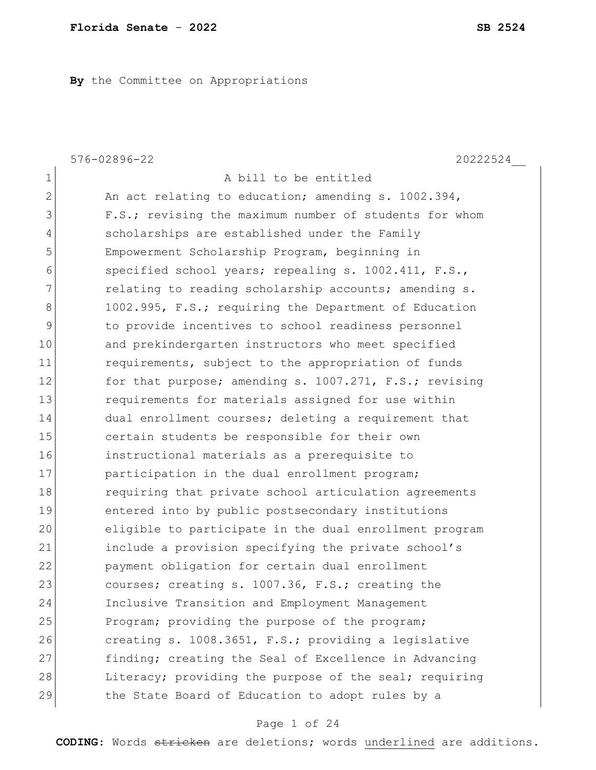**By** the Committee on Appropriations

|                | 576-02896-22<br>20222524                               |
|----------------|--------------------------------------------------------|
| $\mathbf{1}$   | A bill to be entitled                                  |
| $\overline{2}$ | An act relating to education; amending s. 1002.394,    |
| 3              | F.S.; revising the maximum number of students for whom |
| $\overline{4}$ | scholarships are established under the Family          |
| 5              | Empowerment Scholarship Program, beginning in          |
| 6              | specified school years; repealing s. 1002.411, F.S.,   |
| 7              | relating to reading scholarship accounts; amending s.  |
| 8              | 1002.995, F.S.; requiring the Department of Education  |
| 9              | to provide incentives to school readiness personnel    |
| 10             | and prekindergarten instructors who meet specified     |
| 11             | requirements, subject to the appropriation of funds    |
| 12             | for that purpose; amending s. 1007.271, F.S.; revising |
| 13             | requirements for materials assigned for use within     |
| 14             | dual enrollment courses; deleting a requirement that   |
| 15             | certain students be responsible for their own          |
| 16             | instructional materials as a prerequisite to           |
| 17             | participation in the dual enrollment program;          |
| 18             | requiring that private school articulation agreements  |
| 19             | entered into by public postsecondary institutions      |
| 20             | eligible to participate in the dual enrollment program |
| 21             | include a provision specifying the private school's    |
| 22             | payment obligation for certain dual enrollment         |
| 23             | courses; creating s. 1007.36, F.S.; creating the       |
| 24             | Inclusive Transition and Employment Management         |
| 25             | Program; providing the purpose of the program;         |
| 26             | creating s. 1008.3651, F.S.; providing a legislative   |
| 27             | finding; creating the Seal of Excellence in Advancing  |
| 28             | Literacy; providing the purpose of the seal; requiring |
| 29             | the State Board of Education to adopt rules by a       |

# Page 1 of 24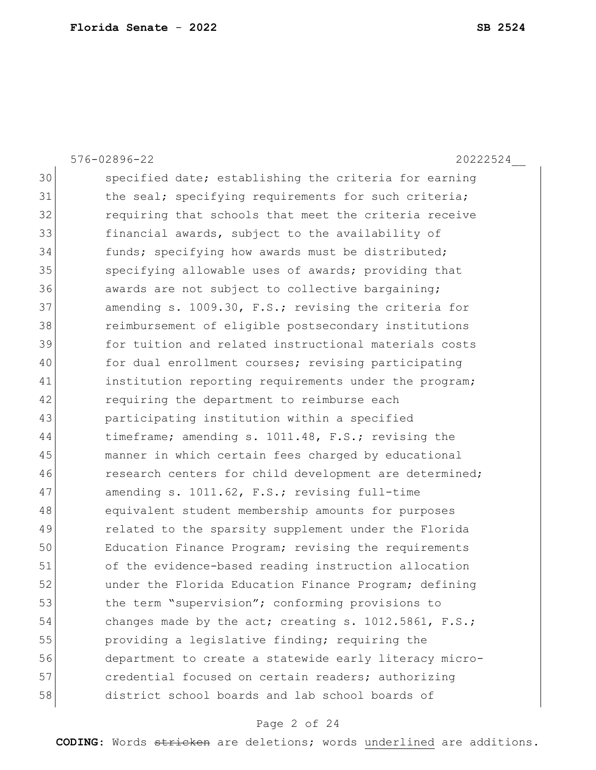|    | 576-02896-22<br>20222524                               |
|----|--------------------------------------------------------|
| 30 | specified date; establishing the criteria for earning  |
| 31 | the seal; specifying requirements for such criteria;   |
| 32 | requiring that schools that meet the criteria receive  |
| 33 | financial awards, subject to the availability of       |
| 34 | funds; specifying how awards must be distributed;      |
| 35 | specifying allowable uses of awards; providing that    |
| 36 | awards are not subject to collective bargaining;       |
| 37 | amending s. 1009.30, F.S.; revising the criteria for   |
| 38 | reimbursement of eligible postsecondary institutions   |
| 39 | for tuition and related instructional materials costs  |
| 40 | for dual enrollment courses; revising participating    |
| 41 | institution reporting requirements under the program;  |
| 42 | requiring the department to reimburse each             |
| 43 | participating institution within a specified           |
| 44 | timeframe; amending s. 1011.48, F.S.; revising the     |
| 45 | manner in which certain fees charged by educational    |
| 46 | research centers for child development are determined; |
| 47 | amending s. 1011.62, F.S.; revising full-time          |
| 48 | equivalent student membership amounts for purposes     |
| 49 | related to the sparsity supplement under the Florida   |
| 50 | Education Finance Program; revising the requirements   |
| 51 | of the evidence-based reading instruction allocation   |
| 52 | under the Florida Education Finance Program; defining  |
| 53 | the term "supervision"; conforming provisions to       |
| 54 | changes made by the act; creating s. 1012.5861, F.S.;  |
| 55 | providing a legislative finding; requiring the         |
| 56 | department to create a statewide early literacy micro- |
| 57 | credential focused on certain readers; authorizing     |
| 58 | district school boards and lab school boards of        |

# Page 2 of 24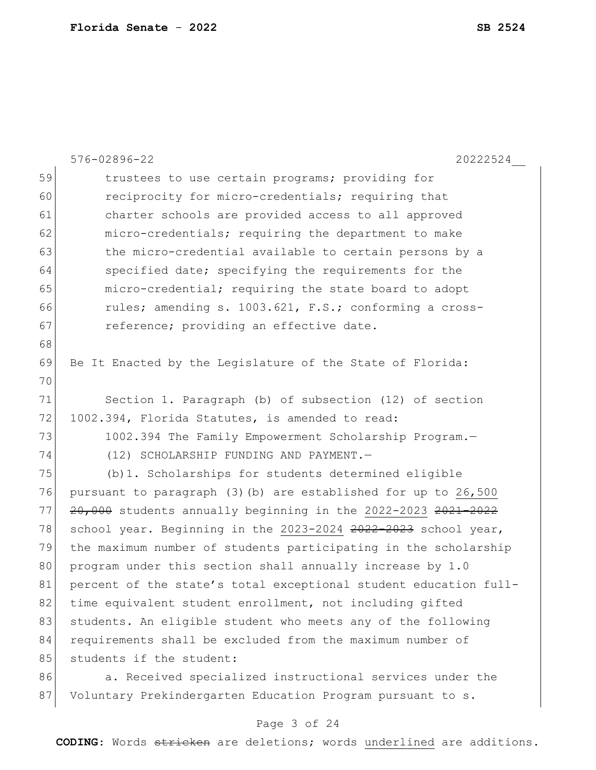|    | 576-02896-22<br>20222524                                          |
|----|-------------------------------------------------------------------|
| 59 | trustees to use certain programs; providing for                   |
| 60 | reciprocity for micro-credentials; requiring that                 |
| 61 | charter schools are provided access to all approved               |
| 62 | micro-credentials; requiring the department to make               |
| 63 | the micro-credential available to certain persons by a            |
| 64 | specified date; specifying the requirements for the               |
| 65 | micro-credential; requiring the state board to adopt              |
| 66 | rules; amending s. 1003.621, F.S.; conforming a cross-            |
| 67 | reference; providing an effective date.                           |
| 68 |                                                                   |
| 69 | Be It Enacted by the Legislature of the State of Florida:         |
| 70 |                                                                   |
| 71 | Section 1. Paragraph (b) of subsection (12) of section            |
| 72 | 1002.394, Florida Statutes, is amended to read:                   |
| 73 | 1002.394 The Family Empowerment Scholarship Program.-             |
| 74 | (12) SCHOLARSHIP FUNDING AND PAYMENT.-                            |
| 75 | (b) 1. Scholarships for students determined eligible              |
| 76 | pursuant to paragraph (3) (b) are established for up to 26,500    |
| 77 | $20,000$ students annually beginning in the 2022-2023 $2021-2022$ |
| 78 | school year. Beginning in the 2023-2024 2022-2023 school year,    |
| 79 | the maximum number of students participating in the scholarship   |
| 80 | program under this section shall annually increase by 1.0         |
| 81 | percent of the state's total exceptional student education full-  |
| 82 | time equivalent student enrollment, not including gifted          |
| 83 | students. An eligible student who meets any of the following      |
| 84 | requirements shall be excluded from the maximum number of         |
| 85 | students if the student:                                          |
| 86 | a. Received specialized instructional services under the          |
| 87 | Voluntary Prekindergarten Education Program pursuant to s.        |

# Page 3 of 24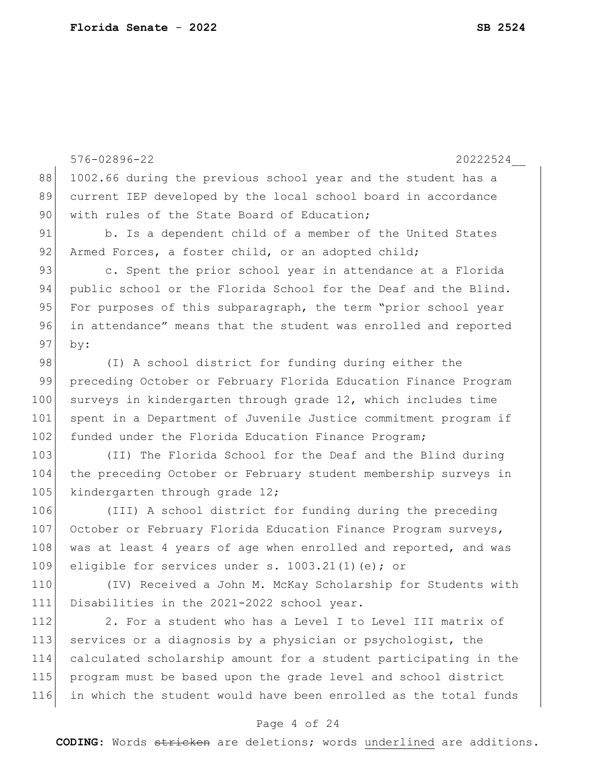|     | 576-02896-22<br>20222524                                         |
|-----|------------------------------------------------------------------|
| 88  | 1002.66 during the previous school year and the student has a    |
| 89  | current IEP developed by the local school board in accordance    |
| 90  | with rules of the State Board of Education;                      |
| 91  | b. Is a dependent child of a member of the United States         |
| 92  | Armed Forces, a foster child, or an adopted child;               |
| 93  | c. Spent the prior school year in attendance at a Florida        |
| 94  | public school or the Florida School for the Deaf and the Blind.  |
| 95  | For purposes of this subparagraph, the term "prior school year   |
| 96  | in attendance" means that the student was enrolled and reported  |
| 97  | by:                                                              |
| 98  | (I) A school district for funding during either the              |
| 99  | preceding October or February Florida Education Finance Program  |
| 100 | surveys in kindergarten through grade 12, which includes time    |
| 101 | spent in a Department of Juvenile Justice commitment program if  |
| 102 | funded under the Florida Education Finance Program;              |
| 103 | (II) The Florida School for the Deaf and the Blind during        |
| 104 | the preceding October or February student membership surveys in  |
| 105 | kindergarten through grade 12;                                   |
| 106 | (III) A school district for funding during the preceding         |
| 107 | October or February Florida Education Finance Program surveys,   |
| 108 | was at least 4 years of age when enrolled and reported, and was  |
| 109 | eligible for services under s. $1003.21(1)$ (e); or              |
| 110 | (IV) Received a John M. McKay Scholarship for Students with      |
| 111 | Disabilities in the 2021-2022 school year.                       |
| 112 | 2. For a student who has a Level I to Level III matrix of        |
| 113 | services or a diagnosis by a physician or psychologist, the      |
| 114 | calculated scholarship amount for a student participating in the |
| 115 | program must be based upon the grade level and school district   |
| 116 | in which the student would have been enrolled as the total funds |

# Page 4 of 24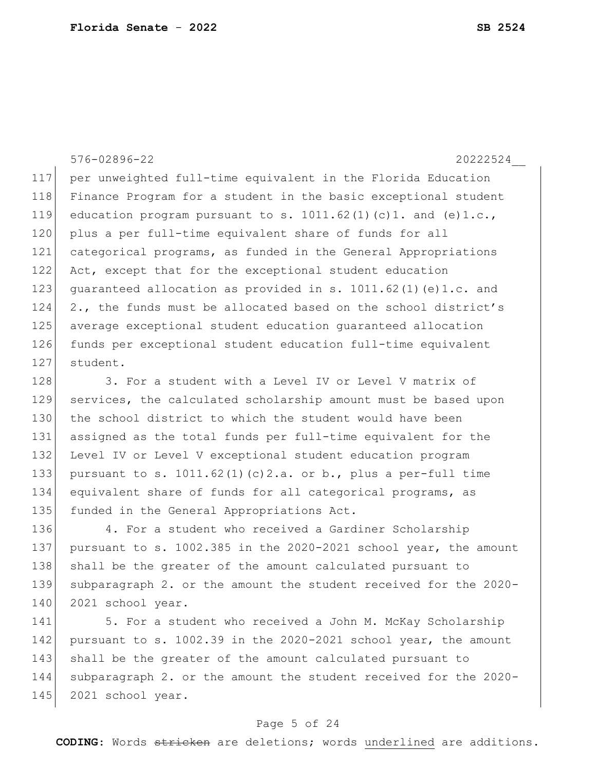576-02896-22 20222524\_\_

117 per unweighted full-time equivalent in the Florida Education 118 Finance Program for a student in the basic exceptional student 119 education program pursuant to s.  $1011.62(1)(c)1.$  and  $(e)1.c.,$ 120 plus a per full-time equivalent share of funds for all 121 categorical programs, as funded in the General Appropriations 122 Act, except that for the exceptional student education 123 quaranteed allocation as provided in s. 1011.62(1)(e)1.c. and  $124$  2., the funds must be allocated based on the school district's 125 average exceptional student education guaranteed allocation 126 funds per exceptional student education full-time equivalent 127 student.

128 3. For a student with a Level IV or Level V matrix of 129 services, the calculated scholarship amount must be based upon 130 the school district to which the student would have been 131 assigned as the total funds per full-time equivalent for the 132 Level IV or Level V exceptional student education program 133 pursuant to s. 1011.62(1)(c)2.a. or b., plus a per-full time 134 equivalent share of funds for all categorical programs, as 135 funded in the General Appropriations Act.

136 4. For a student who received a Gardiner Scholarship 137 pursuant to s. 1002.385 in the 2020-2021 school year, the amount 138 shall be the greater of the amount calculated pursuant to 139 subparagraph 2. or the amount the student received for the 2020- 140 2021 school year.

141 5. For a student who received a John M. McKay Scholarship 142 pursuant to s. 1002.39 in the 2020-2021 school year, the amount 143 shall be the greater of the amount calculated pursuant to 144 subparagraph 2. or the amount the student received for the 2020- 145 2021 school year.

### Page 5 of 24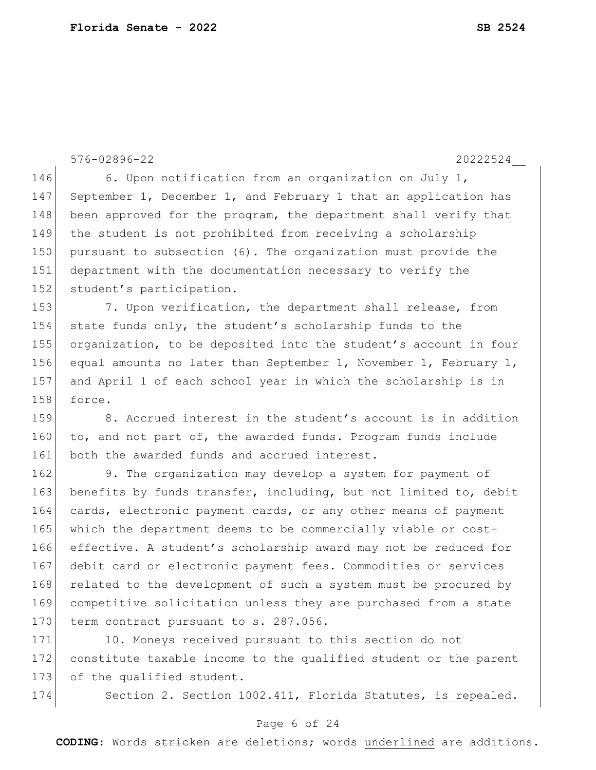576-02896-22 20222524\_\_ 146 6. Upon notification from an organization on July 1, 147 September 1, December 1, and February 1 that an application has 148 been approved for the program, the department shall verify that 149 the student is not prohibited from receiving a scholarship 150 pursuant to subsection (6). The organization must provide the 151 department with the documentation necessary to verify the 152 student's participation. 153 7. Upon verification, the department shall release, from 154 state funds only, the student's scholarship funds to the 155 organization, to be deposited into the student's account in four 156 equal amounts no later than September 1, November 1, February 1, 157 and April 1 of each school year in which the scholarship is in 158 force. 159 8. Accrued interest in the student's account is in addition 160 to, and not part of, the awarded funds. Program funds include 161 both the awarded funds and accrued interest. 162 9. The organization may develop a system for payment of 163 benefits by funds transfer, including, but not limited to, debit 164 cards, electronic payment cards, or any other means of payment 165 which the department deems to be commercially viable or cost-166 effective. A student's scholarship award may not be reduced for 167 debit card or electronic payment fees. Commodities or services 168 related to the development of such a system must be procured by

171 10. Moneys received pursuant to this section do not 172 constitute taxable income to the qualified student or the parent 173 of the qualified student.

169 competitive solicitation unless they are purchased from a state

170 term contract pursuant to s. 287.056.

174 Section 2. Section 1002.411, Florida Statutes, is repealed.

### Page 6 of 24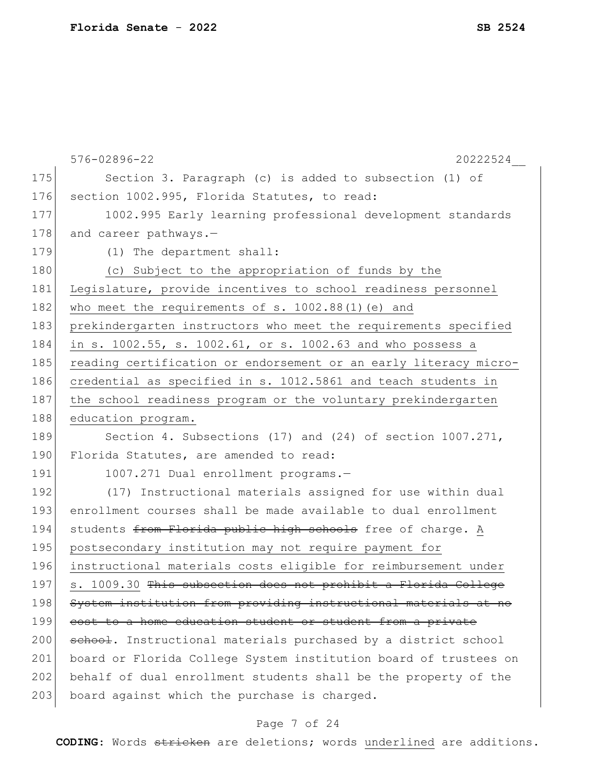|     | 576-02896-22<br>20222524                                         |
|-----|------------------------------------------------------------------|
| 175 | Section 3. Paragraph (c) is added to subsection (1) of           |
| 176 | section 1002.995, Florida Statutes, to read:                     |
| 177 | 1002.995 Early learning professional development standards       |
| 178 | and career pathways.-                                            |
| 179 | (1) The department shall:                                        |
| 180 | (c) Subject to the appropriation of funds by the                 |
| 181 | Legislature, provide incentives to school readiness personnel    |
| 182 | who meet the requirements of s. 1002.88(1) (e) and               |
| 183 | prekindergarten instructors who meet the requirements specified  |
| 184 | in s. 1002.55, s. 1002.61, or s. 1002.63 and who possess a       |
| 185 | reading certification or endorsement or an early literacy micro- |
| 186 | credential as specified in s. 1012.5861 and teach students in    |
| 187 | the school readiness program or the voluntary prekindergarten    |
| 188 | education program.                                               |
| 189 | Section 4. Subsections (17) and (24) of section 1007.271,        |
| 190 | Florida Statutes, are amended to read:                           |
| 191 | 1007.271 Dual enrollment programs.-                              |
| 192 | (17) Instructional materials assigned for use within dual        |
| 193 | enrollment courses shall be made available to dual enrollment    |
| 194 | students from Florida public high schools free of charge. A      |
| 195 | postsecondary institution may not require payment for            |
| 196 | instructional materials costs eligible for reimbursement under   |
| 197 | s. 1009.30 This subsection does not prohibit a Florida College   |
| 198 | System institution from providing instructional materials at no  |
| 199 | cost to a home education student or student from a private       |
| 200 | school. Instructional materials purchased by a district school   |
| 201 | board or Florida College System institution board of trustees on |
| 202 | behalf of dual enrollment students shall be the property of the  |
| 203 | board against which the purchase is charged.                     |
|     |                                                                  |

# Page 7 of 24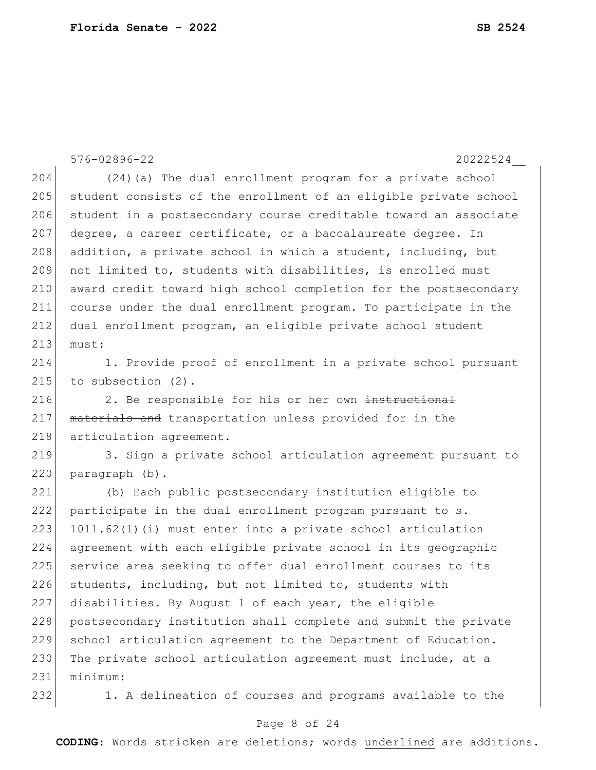576-02896-22 20222524\_\_ 204 (24)(a) The dual enrollment program for a private school 205 student consists of the enrollment of an eligible private school 206 student in a postsecondary course creditable toward an associate 207 degree, a career certificate, or a baccalaureate degree. In 208 addition, a private school in which a student, including, but 209 not limited to, students with disabilities, is enrolled must 210 award credit toward high school completion for the postsecondary 211 course under the dual enrollment program. To participate in the 212 dual enrollment program, an eligible private school student  $213$  must: 214 1. Provide proof of enrollment in a private school pursuant 215 to subsection (2). 216 2. Be responsible for his or her own instructional 217 materials and transportation unless provided for in the 218 articulation agreement. 219 3. Sign a private school articulation agreement pursuant to 220 paragraph (b). 221 (b) Each public postsecondary institution eligible to 222 participate in the dual enrollment program pursuant to s.  $223$  1011.62(1)(i) must enter into a private school articulation 224 agreement with each eligible private school in its geographic 225 service area seeking to offer dual enrollment courses to its 226 students, including, but not limited to, students with 227 disabilities. By August 1 of each year, the eligible 228 postsecondary institution shall complete and submit the private 229 school articulation agreement to the Department of Education. 230 The private school articulation agreement must include, at a 231 minimum: 232 1. A delineation of courses and programs available to the

### Page 8 of 24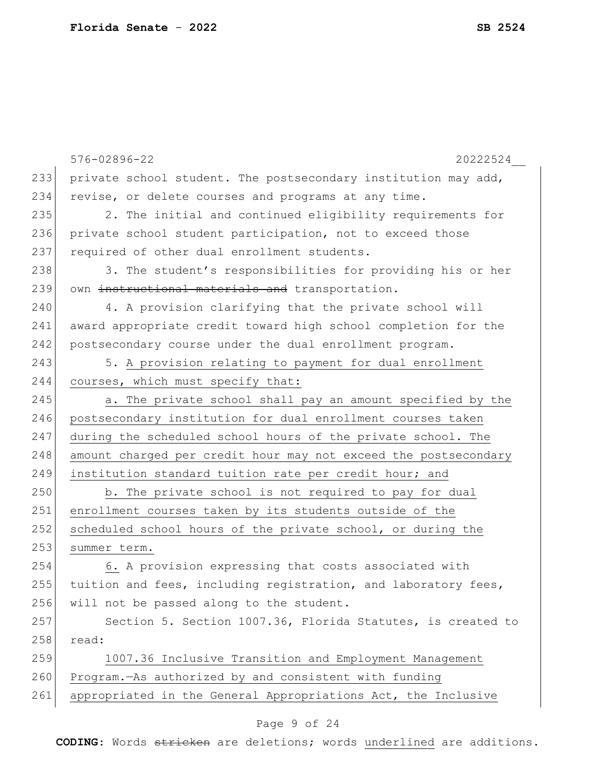|     | 576-02896-22<br>20222524                                        |
|-----|-----------------------------------------------------------------|
| 233 | private school student. The postsecondary institution may add,  |
| 234 | revise, or delete courses and programs at any time.             |
| 235 | 2. The initial and continued eligibility requirements for       |
| 236 | private school student participation, not to exceed those       |
| 237 | required of other dual enrollment students.                     |
| 238 | 3. The student's responsibilities for providing his or her      |
| 239 | own instructional materials and transportation.                 |
| 240 | 4. A provision clarifying that the private school will          |
| 241 | award appropriate credit toward high school completion for the  |
| 242 | postsecondary course under the dual enrollment program.         |
| 243 | 5. A provision relating to payment for dual enrollment          |
| 244 | courses, which must specify that:                               |
| 245 | a. The private school shall pay an amount specified by the      |
| 246 | postsecondary institution for dual enrollment courses taken     |
| 247 | during the scheduled school hours of the private school. The    |
| 248 | amount charged per credit hour may not exceed the postsecondary |
| 249 | institution standard tuition rate per credit hour; and          |
| 250 | b. The private school is not required to pay for dual           |
| 251 | enrollment courses taken by its students outside of the         |
| 252 | scheduled school hours of the private school, or during the     |
| 253 | summer term.                                                    |
| 254 | 6. A provision expressing that costs associated with            |
| 255 | tuition and fees, including registration, and laboratory fees,  |
| 256 | will not be passed along to the student.                        |
| 257 | Section 5. Section 1007.36, Florida Statutes, is created to     |
| 258 | read:                                                           |
| 259 | 1007.36 Inclusive Transition and Employment Management          |
| 260 | Program.-As authorized by and consistent with funding           |
| 261 | appropriated in the General Appropriations Act, the Inclusive   |

# Page 9 of 24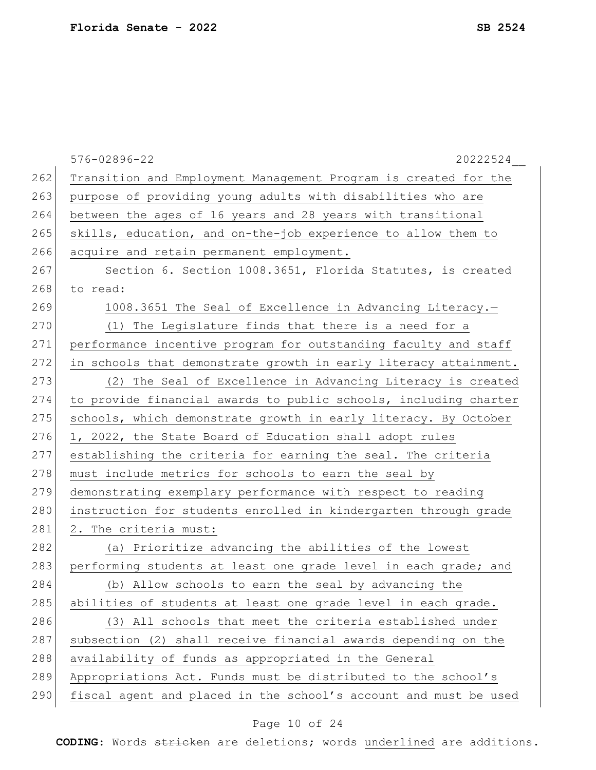|     | 576-02896-22<br>20222524                                         |
|-----|------------------------------------------------------------------|
| 262 | Transition and Employment Management Program is created for the  |
| 263 | purpose of providing young adults with disabilities who are      |
| 264 | between the ages of 16 years and 28 years with transitional      |
| 265 | skills, education, and on-the-job experience to allow them to    |
| 266 | acquire and retain permanent employment.                         |
| 267 | Section 6. Section 1008.3651, Florida Statutes, is created       |
| 268 | to read:                                                         |
| 269 | 1008.3651 The Seal of Excellence in Advancing Literacy.-         |
| 270 | (1) The Legislature finds that there is a need for a             |
| 271 | performance incentive program for outstanding faculty and staff  |
| 272 | in schools that demonstrate growth in early literacy attainment. |
| 273 | (2) The Seal of Excellence in Advancing Literacy is created      |
| 274 | to provide financial awards to public schools, including charter |
| 275 | schools, which demonstrate growth in early literacy. By October  |
| 276 | 1, 2022, the State Board of Education shall adopt rules          |
| 277 | establishing the criteria for earning the seal. The criteria     |
| 278 | must include metrics for schools to earn the seal by             |
| 279 | demonstrating exemplary performance with respect to reading      |
| 280 | instruction for students enrolled in kindergarten through grade  |
| 281 | 2. The criteria must:                                            |
| 282 | (a) Prioritize advancing the abilities of the lowest             |
| 283 | performing students at least one grade level in each grade; and  |
| 284 | (b) Allow schools to earn the seal by advancing the              |
| 285 | abilities of students at least one grade level in each grade.    |
| 286 | (3) All schools that meet the criteria established under         |
| 287 | subsection (2) shall receive financial awards depending on the   |
| 288 | availability of funds as appropriated in the General             |
| 289 | Appropriations Act. Funds must be distributed to the school's    |
| 290 | fiscal agent and placed in the school's account and must be used |
|     |                                                                  |

# Page 10 of 24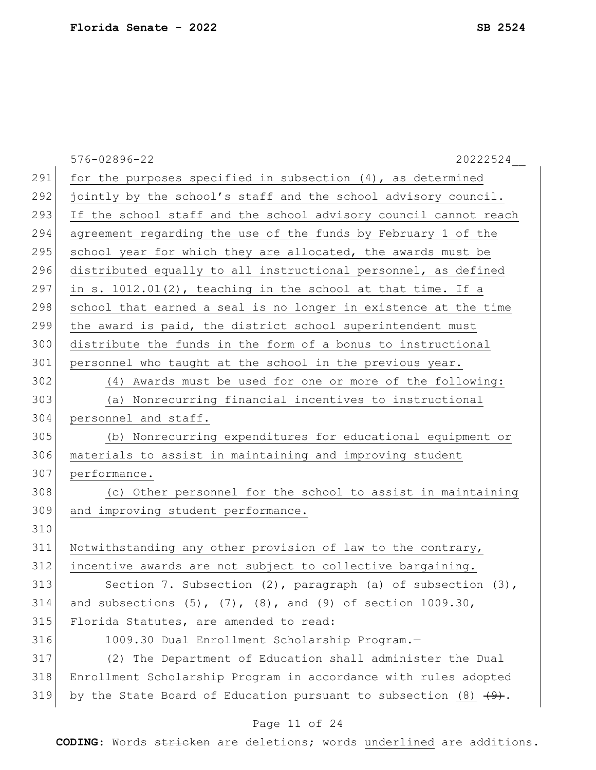|     | 576-02896-22<br>20222524                                                      |
|-----|-------------------------------------------------------------------------------|
| 291 | for the purposes specified in subsection $(4)$ , as determined                |
| 292 | jointly by the school's staff and the school advisory council.                |
| 293 | If the school staff and the school advisory council cannot reach              |
| 294 | agreement regarding the use of the funds by February 1 of the                 |
| 295 | school year for which they are allocated, the awards must be                  |
| 296 | distributed equally to all instructional personnel, as defined                |
| 297 | in s. 1012.01(2), teaching in the school at that time. If a                   |
| 298 | school that earned a seal is no longer in existence at the time               |
| 299 | the award is paid, the district school superintendent must                    |
| 300 | distribute the funds in the form of a bonus to instructional                  |
| 301 | personnel who taught at the school in the previous year.                      |
| 302 | (4) Awards must be used for one or more of the following:                     |
| 303 | (a) Nonrecurring financial incentives to instructional                        |
| 304 | personnel and staff.                                                          |
| 305 | (b) Nonrecurring expenditures for educational equipment or                    |
| 306 | materials to assist in maintaining and improving student                      |
| 307 | performance.                                                                  |
| 308 | (c) Other personnel for the school to assist in maintaining                   |
| 309 | and improving student performance.                                            |
| 310 |                                                                               |
| 311 | Notwithstanding any other provision of law to the contrary,                   |
| 312 | incentive awards are not subject to collective bargaining.                    |
| 313 | Section 7. Subsection $(2)$ , paragraph $(a)$ of subsection $(3)$ ,           |
| 314 | and subsections $(5)$ , $(7)$ , $(8)$ , and $(9)$ of section 1009.30,         |
| 315 | Florida Statutes, are amended to read:                                        |
| 316 | 1009.30 Dual Enrollment Scholarship Program.-                                 |
| 317 | (2) The Department of Education shall administer the Dual                     |
| 318 | Enrollment Scholarship Program in accordance with rules adopted               |
| 319 | by the State Board of Education pursuant to subsection (8) $\left(9\right)$ . |

# Page 11 of 24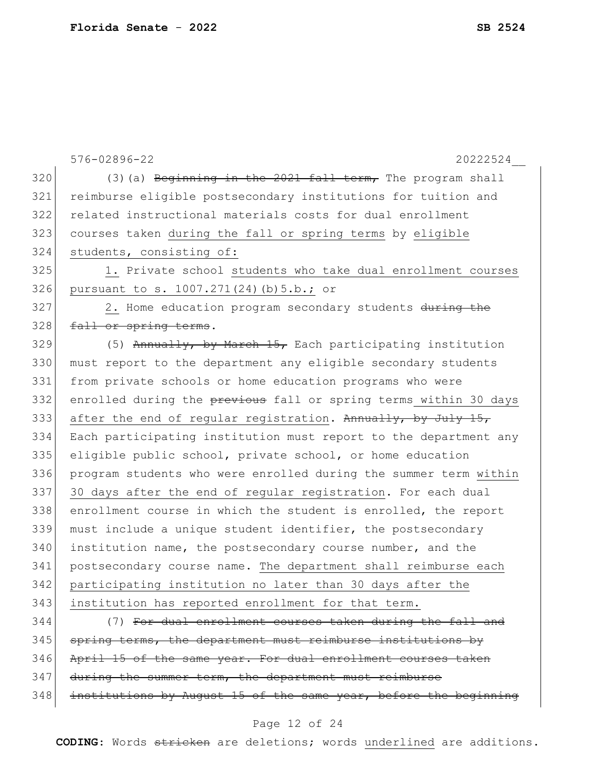|     | 576-02896-22<br>20222524                                         |
|-----|------------------------------------------------------------------|
| 320 | (3) (a) Beginning in the 2021 fall term, The program shall       |
| 321 | reimburse eligible postsecondary institutions for tuition and    |
| 322 | related instructional materials costs for dual enrollment        |
| 323 | courses taken during the fall or spring terms by eligible        |
| 324 | students, consisting of:                                         |
| 325 | 1. Private school students who take dual enrollment courses      |
| 326 | pursuant to s. 1007.271(24)(b) 5.b.; or                          |
| 327 | 2. Home education program secondary students during the          |
| 328 | fall or spring terms.                                            |
| 329 | (5) Annually, by March $15$ , Each participating institution     |
| 330 | must report to the department any eligible secondary students    |
| 331 | from private schools or home education programs who were         |
| 332 | enrolled during the previous fall or spring terms within 30 days |
| 333 | after the end of regular registration. Annually, by July 15,     |
| 334 | Each participating institution must report to the department any |
| 335 | eligible public school, private school, or home education        |
| 336 | program students who were enrolled during the summer term within |
| 337 | 30 days after the end of regular registration. For each dual     |
| 338 | enrollment course in which the student is enrolled, the report   |
| 339 | must include a unique student identifier, the postsecondary      |
| 340 | institution name, the postsecondary course number, and the       |
| 341 | postsecondary course name. The department shall reimburse each   |
| 342 | participating institution no later than 30 days after the        |
| 343 | institution has reported enrollment for that term.               |
| 344 | (7) For dual enrollment courses taken during the fall and        |
| 345 | spring terms, the department must reimburse institutions by      |
| 346 | April 15 of the same year. For dual enrollment courses taken     |
| 347 | during the summer term, the department must reimburse            |
| 348 | institutions by August 15 of the same year, before the beginning |

Page 12 of 24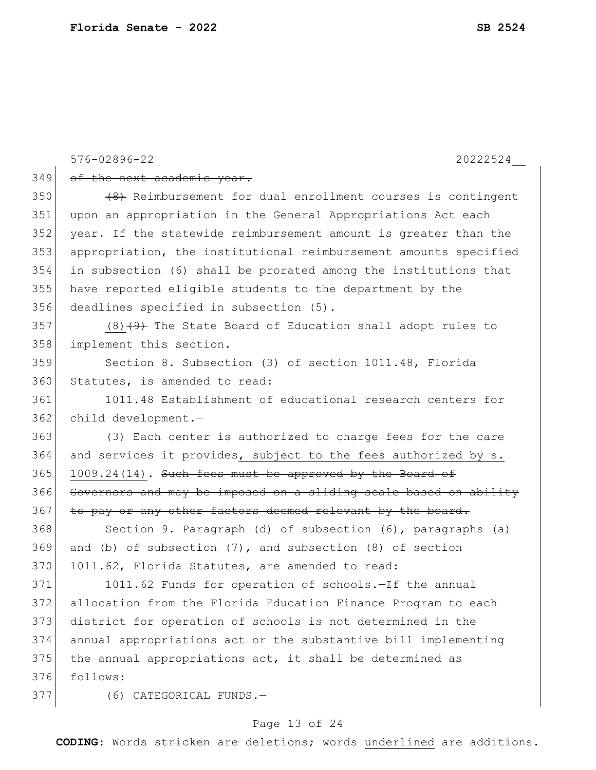|     | 576-02896-22<br>20222524                                         |
|-----|------------------------------------------------------------------|
| 349 | of the next academic year.                                       |
| 350 | (8) Reimbursement for dual enrollment courses is contingent      |
| 351 | upon an appropriation in the General Appropriations Act each     |
| 352 | year. If the statewide reimbursement amount is greater than the  |
| 353 | appropriation, the institutional reimbursement amounts specified |
| 354 | in subsection (6) shall be prorated among the institutions that  |
| 355 | have reported eligible students to the department by the         |
| 356 | deadlines specified in subsection (5).                           |
| 357 | $(8)$ $(4)$ The State Board of Education shall adopt rules to    |
| 358 | implement this section.                                          |
| 359 | Section 8. Subsection (3) of section 1011.48, Florida            |
| 360 | Statutes, is amended to read:                                    |
| 361 | 1011.48 Establishment of educational research centers for        |
| 362 | child development.-                                              |
| 363 | (3) Each center is authorized to charge fees for the care        |
| 364 | and services it provides, subject to the fees authorized by s.   |
| 365 | 1009.24(14). Such fees must be approved by the Board of          |
| 366 | Governors and may be imposed on a sliding scale based on ability |
| 367 | to pay or any other factors deemed relevant by the board.        |
| 368 | Section 9. Paragraph (d) of subsection (6), paragraphs (a)       |
| 369 | and (b) of subsection $(7)$ , and subsection $(8)$ of section    |
| 370 | 1011.62, Florida Statutes, are amended to read:                  |
| 371 | 1011.62 Funds for operation of schools.-If the annual            |
| 372 | allocation from the Florida Education Finance Program to each    |
| 373 | district for operation of schools is not determined in the       |
| 374 | annual appropriations act or the substantive bill implementing   |
| 375 | the annual appropriations act, it shall be determined as         |
| 376 | follows:                                                         |
| 377 | (6) CATEGORICAL FUNDS.-                                          |

# Page 13 of 24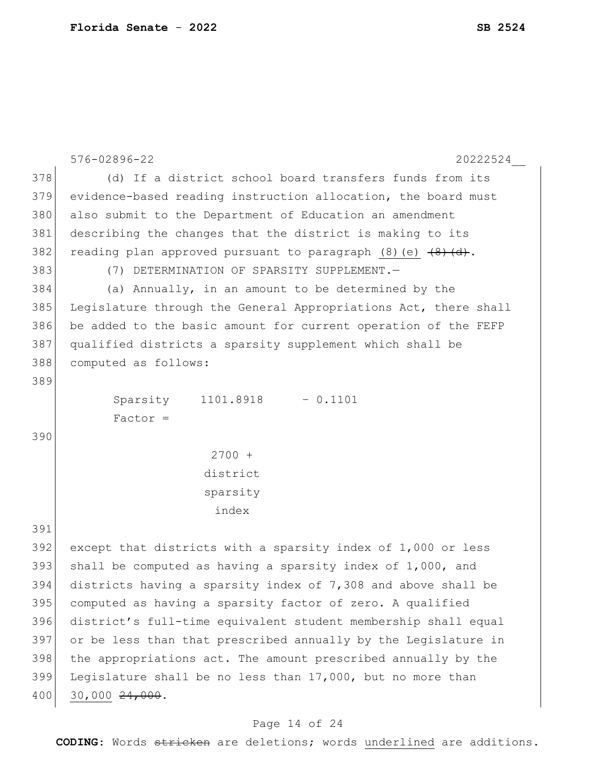```
576-02896-22 20222524__
378 (d) If a district school board transfers funds from its
379 evidence-based reading instruction allocation, the board must 
380 also submit to the Department of Education an amendment
381 describing the changes that the district is making to its 
382 reading plan approved pursuant to paragraph (8) (e) \overline{(8) (d)}.
383 (7) DETERMINATION OF SPARSITY SUPPLEMENT.—
384 (a) Annually, in an amount to be determined by the
385 Legislature through the General Appropriations Act, there shall 
386 be added to the basic amount for current operation of the FEFP 
387 qualified districts a sparsity supplement which shall be 
388 computed as follows:
389
           Sparsity 
           Factor =
                       1101.8918 – 0.1101
390
                        2700 + 
                       district
                       sparsity
                         index
391
392 except that districts with a sparsity index of 1,000 or less
393 shall be computed as having a sparsity index of 1,000, and
394 districts having a sparsity index of 7,308 and above shall be 
395 computed as having a sparsity factor of zero. A qualified 
396 district's full-time equivalent student membership shall equal 
397 or be less than that prescribed annually by the Legislature in 
398 the appropriations act. The amount prescribed annually by the
399 Legislature shall be no less than 17,000, but no more than
400 30,000 <del>24,000</del>.
```
### Page 14 of 24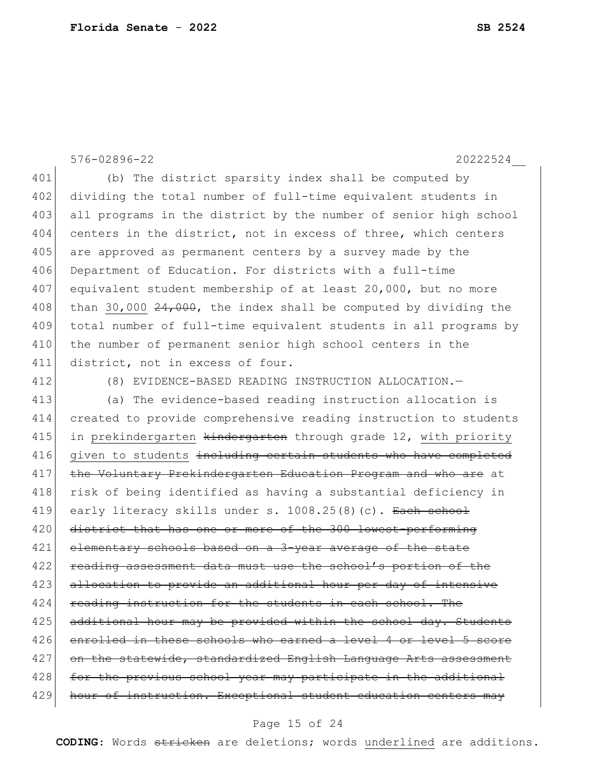576-02896-22 20222524\_\_

401 (b) The district sparsity index shall be computed by 402 dividing the total number of full-time equivalent students in 403 all programs in the district by the number of senior high school 404 centers in the district, not in excess of three, which centers 405 are approved as permanent centers by a survey made by the 406 Department of Education. For districts with a full-time 407 equivalent student membership of at least 20,000, but no more 408 than 30,000  $24,000$ , the index shall be computed by dividing the 409 total number of full-time equivalent students in all programs by 410 the number of permanent senior high school centers in the 411 district, not in excess of four.

412 (8) EVIDENCE-BASED READING INSTRUCTION ALLOCATION.—

413 (a) The evidence-based reading instruction allocation is 414 created to provide comprehensive reading instruction to students 415 in prekindergarten kindergarten through grade 12, with priority 416 given to students including certain students who have completed 417 the Voluntary Prekindergarten Education Program and who are at 418 risk of being identified as having a substantial deficiency in 419 early literacy skills under s. 1008.25(8)(c). Each school 420 district that has one or more of the 300 lowest-performing 421 elementary schools based on a 3-year average of the state 422 reading assessment data must use the school's portion of the 423 allocation to provide an additional hour per day of intensive 424 reading instruction for the students in each school. The 425 additional hour may be provided within the school day. Students 426 enrolled in these schools who earned a level 4 or level 5 score  $427$  on the statewide, standardized English Language Arts assessment 428 for the previous school year may participate in the additional 429 hour of instruction. Exceptional student education centers may

#### Page 15 of 24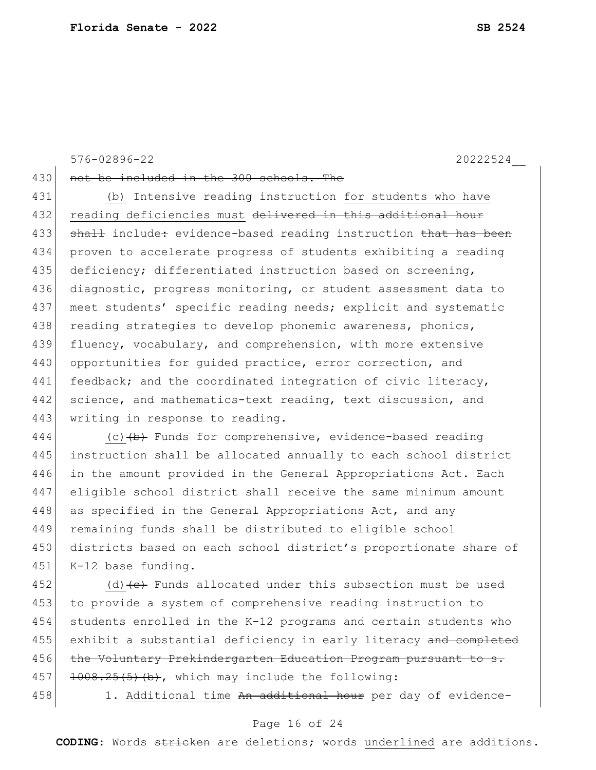576-02896-22 20222524\_\_

430 not be included in the 300 schools. The

431 (b) Intensive reading instruction for students who have 432 reading deficiencies must delivered in this additional hour 433 shall include: evidence-based reading instruction that has been 434 proven to accelerate progress of students exhibiting a reading 435 deficiency; differentiated instruction based on screening, 436 diagnostic, progress monitoring, or student assessment data to 437 meet students' specific reading needs; explicit and systematic 438 reading strategies to develop phonemic awareness, phonics, 439 fluency, vocabulary, and comprehension, with more extensive 440 opportunities for quided practice, error correction, and 441 feedback; and the coordinated integration of civic literacy, 442 science, and mathematics-text reading, text discussion, and 443 writing in response to reading.

444 (c)  $\left(\frac{b}{b}\right)$  Funds for comprehensive, evidence-based reading 445 instruction shall be allocated annually to each school district 446 in the amount provided in the General Appropriations Act. Each 447 eligible school district shall receive the same minimum amount 448 as specified in the General Appropriations Act, and any 449 remaining funds shall be distributed to eligible school 450 districts based on each school district's proportionate share of 451 K-12 base funding.

452 (d)  $\left\{ \frac{e}{f} \right\}$  Funds allocated under this subsection must be used 453 to provide a system of comprehensive reading instruction to 454 students enrolled in the K-12 programs and certain students who 455 exhibit a substantial deficiency in early literacy and completed 456 the Voluntary Prekindergarten Education Program pursuant to s. 457 1008.25(5)(b), which may include the following:

458 1. Additional time An additional hour per day of evidence-

### Page 16 of 24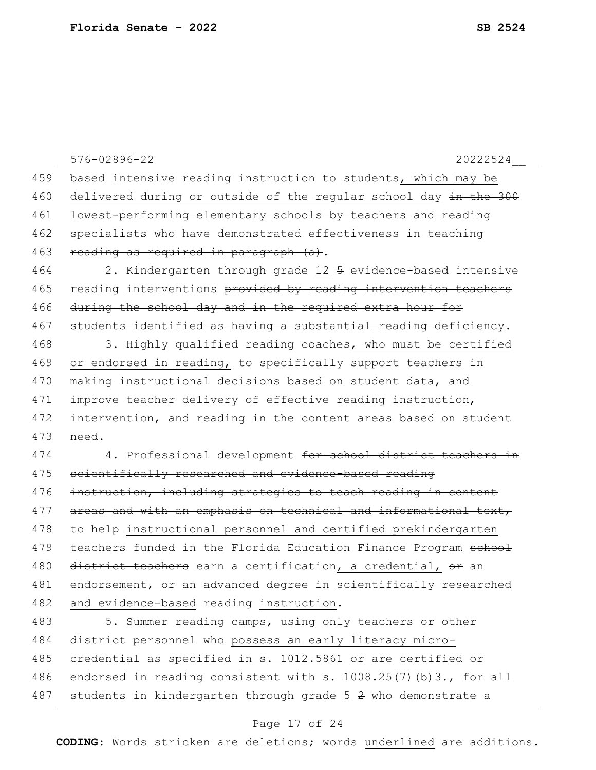|     | 576-02896-22<br>20222524                                           |
|-----|--------------------------------------------------------------------|
| 459 | based intensive reading instruction to students, which may be      |
| 460 | delivered during or outside of the regular school day in the 300   |
| 461 | lowest-performing elementary schools by teachers and reading       |
| 462 | specialists who have demonstrated effectiveness in teaching        |
| 463 | reading as required in paragraph (a).                              |
| 464 | 2. Kindergarten through grade 12 5 evidence-based intensive        |
| 465 | reading interventions provided by reading intervention teachers    |
| 466 | during the school day and in the required extra hour for           |
| 467 | students identified as having a substantial reading deficiency.    |
| 468 | 3. Highly qualified reading coaches, who must be certified         |
| 469 | or endorsed in reading, to specifically support teachers in        |
| 470 | making instructional decisions based on student data, and          |
| 471 | improve teacher delivery of effective reading instruction,         |
| 472 | intervention, and reading in the content areas based on student    |
| 473 | need.                                                              |
| 474 | 4. Professional development for school district teachers in        |
| 475 | scientifically researched and evidence-based reading               |
| 476 | instruction, including strategies to teach reading in content      |
| 477 | areas and with an emphasis on technical and informational text,    |
| 478 | to help instructional personnel and certified prekindergarten      |
| 479 | teachers funded in the Florida Education Finance Program school    |
| 480 | district teachers earn a certification, a credential, or an        |
| 481 | endorsement, or an advanced degree in scientifically researched    |
| 482 | and evidence-based reading instruction.                            |
| 483 | 5. Summer reading camps, using only teachers or other              |
| 484 | district personnel who possess an early literacy micro-            |
| 485 | credential as specified in s. 1012.5861 or are certified or        |
| 486 | endorsed in reading consistent with s. $1008.25(7)(b)3.$ , for all |
| 487 | students in kindergarten through grade $5\,2$ who demonstrate a    |

# Page 17 of 24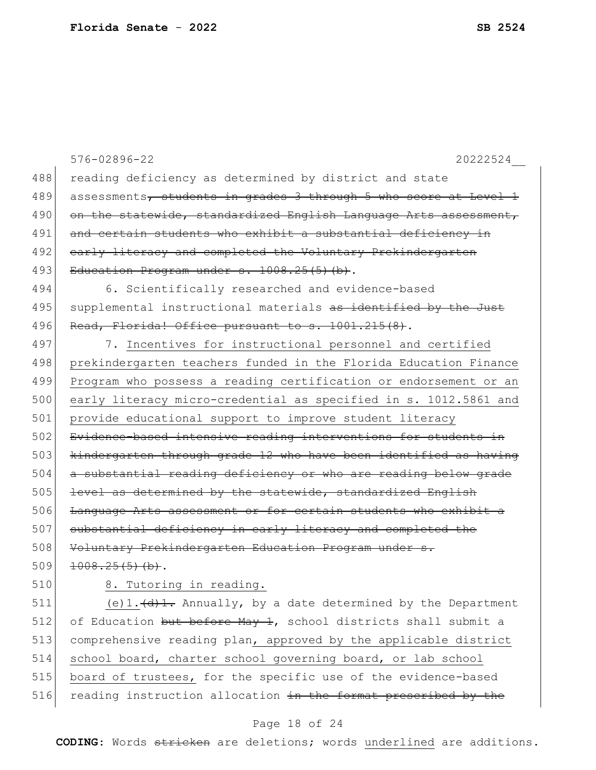|     | 576-02896-22<br>20222524                                                            |
|-----|-------------------------------------------------------------------------------------|
| 488 | reading deficiency as determined by district and state                              |
| 489 | assessments, students in grades 3 through 5 who score at Level 1                    |
| 490 | on the statewide, standardized English Language Arts assessment,                    |
| 491 | and certain students who exhibit a substantial deficiency in                        |
| 492 | early literacy and completed the Voluntary Prekindergarten                          |
| 493 | Education Program under s. 1008.25(5)(b).                                           |
| 494 | 6. Scientifically researched and evidence-based                                     |
| 495 | supplemental instructional materials as identified by the Just                      |
| 496 | Read, Florida! Office pursuant to s. 1001.215(8).                                   |
| 497 | 7. Incentives for instructional personnel and certified                             |
| 498 | prekindergarten teachers funded in the Florida Education Finance                    |
| 499 | Program who possess a reading certification or endorsement or an                    |
| 500 | early literacy micro-credential as specified in s. 1012.5861 and                    |
| 501 | provide educational support to improve student literacy                             |
| 502 | Evidence-based intensive reading interventions for students in                      |
| 503 | kindergarten through grade 12 who have been identified as having                    |
| 504 | a substantial reading deficiency or who are reading below grade                     |
| 505 | level as determined by the statewide, standardized English                          |
| 506 | Language Arts assessment or for certain students who exhibit a                      |
| 507 | substantial deficiency in early literacy and completed the                          |
| 508 | Voluntary Prekindergarten Education Program under s.                                |
| 509 | 1008.25(5)(b).                                                                      |
| 510 | 8. Tutoring in reading.                                                             |
| 511 | (e) $1.\left(\frac{d}{d}\right)$ . Annually, by a date determined by the Department |
| 512 | of Education but before May 1, school districts shall submit a                      |
| 513 | comprehensive reading plan, approved by the applicable district                     |
| 514 | school board, charter school governing board, or lab school                         |
| 515 | board of trustees, for the specific use of the evidence-based                       |
| 516 | reading instruction allocation in the format prescribed by the                      |

# Page 18 of 24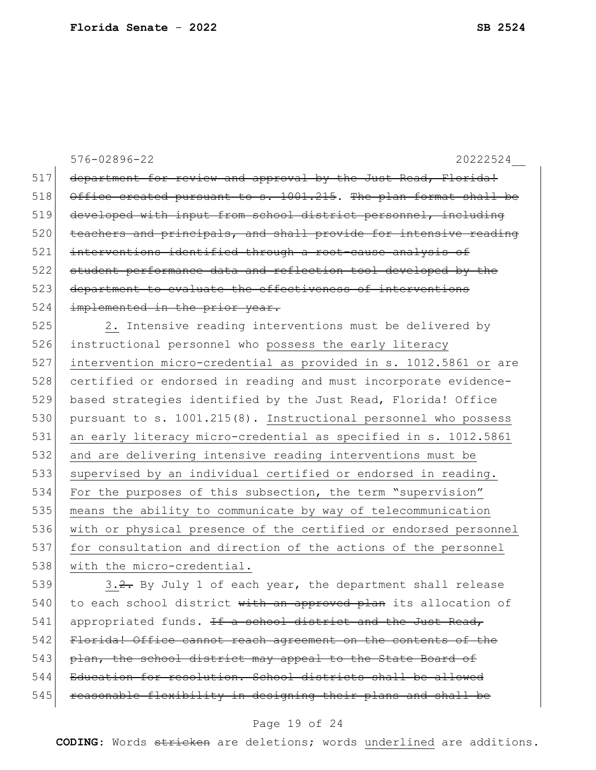576-02896-22 20222524\_\_ 517 department for review and approval by the Just Read, Florida! 518 Office created pursuant to s. 1001.215. The plan format shall be 519 developed with input from school district personnel, including 520 teachers and principals, and shall provide for intensive reading 521 interventions identified through a root-cause analysis of 522 student performance data and reflection tool developed by the 523 department to evaluate the effectiveness of interventions 524 implemented in the prior year. 525 2. Intensive reading interventions must be delivered by 526 instructional personnel who possess the early literacy 527 intervention micro-credential as provided in s. 1012.5861 or are 528 certified or endorsed in reading and must incorporate evidence-529 based strategies identified by the Just Read, Florida! Office 530 pursuant to s. 1001.215(8). Instructional personnel who possess 531 an early literacy micro-credential as specified in s. 1012.5861 532 and are delivering intensive reading interventions must be 533 supervised by an individual certified or endorsed in reading. 534 For the purposes of this subsection, the term "supervision" 535 means the ability to communicate by way of telecommunication 536 with or physical presence of the certified or endorsed personnel 537 for consultation and direction of the actions of the personnel 538 with the micro-credential. 539  $\vert$  3.2. By July 1 of each year, the department shall release 540 to each school district with an approved plan its allocation of

 $541$  appropriated funds. If a school district and the Just Read, 542 Florida! Office cannot reach agreement on the contents of the 543 plan, the school district may appeal to the State Board of 544 Education for resolution. School districts shall be allowed 545 reasonable flexibility in designing their plans and shall be

#### Page 19 of 24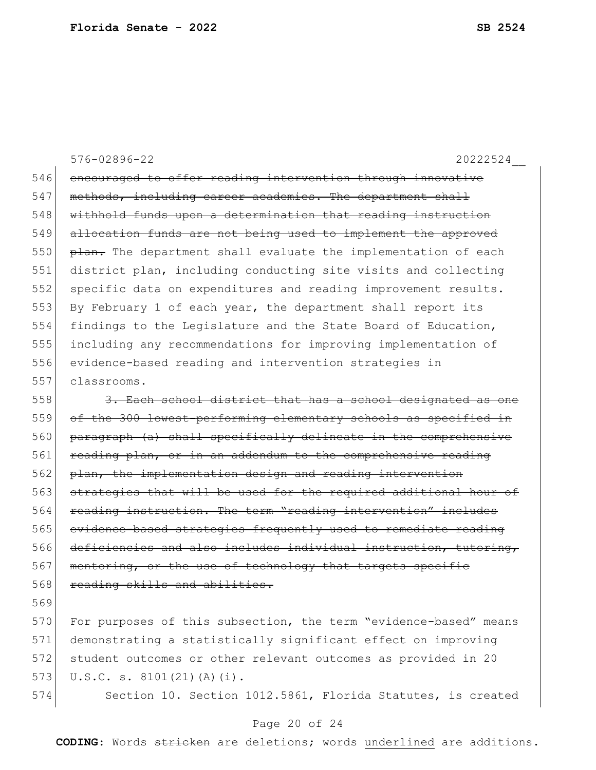### 576-02896-22 20222524\_\_

546 encouraged to offer reading intervention through innovative 547 methods, including career academies. The department shall 548 withhold funds upon a determination that reading instruction 549 allocation funds are not being used to implement the approved  $550$  plan. The department shall evaluate the implementation of each 551 district plan, including conducting site visits and collecting 552 specific data on expenditures and reading improvement results. 553 By February 1 of each year, the department shall report its 554 findings to the Legislature and the State Board of Education, 555 including any recommendations for improving implementation of 556 evidence-based reading and intervention strategies in 557 classrooms.

 $558$  3. Each school district that has a school designated as one 559 of the 300 lowest-performing elementary schools as specified in 560 paragraph (a) shall specifically delineate in the comprehensive 561 reading plan, or in an addendum to the comprehensive reading 562 plan, the implementation design and reading intervention 563 strategies that will be used for the required additional hour of 564 reading instruction. The term "reading intervention" includes 565 evidence-based strategies frequently used to remediate reading 566 deficiencies and also includes individual instruction, tutoring, 567 mentoring, or the use of technology that targets specific 568 reading skills and abilities.

569

570 For purposes of this subsection, the term "evidence-based" means 571 demonstrating a statistically significant effect on improving 572 student outcomes or other relevant outcomes as provided in 20 573 U.S.C. s.  $8101(21)(A)(i)$ .

574 Section 10. Section 1012.5861, Florida Statutes, is created

#### Page 20 of 24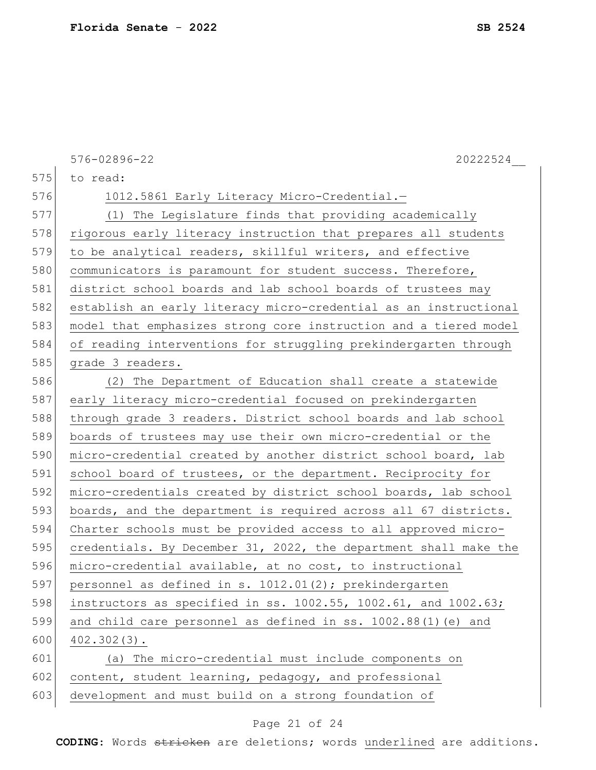|     | 576-02896-22<br>20222524                                                |
|-----|-------------------------------------------------------------------------|
| 575 | to read:                                                                |
| 576 | 1012.5861 Early Literacy Micro-Credential.-                             |
| 577 | (1) The Legislature finds that providing academically                   |
| 578 | rigorous early literacy instruction that prepares all students          |
| 579 | to be analytical readers, skillful writers, and effective               |
| 580 | communicators is paramount for student success. Therefore,              |
| 581 | district school boards and lab school boards of trustees may            |
| 582 | establish an early literacy micro-credential as an instructional        |
| 583 | model that emphasizes strong core instruction and a tiered model        |
| 584 | of reading interventions for struggling prekindergarten through         |
| 585 | grade 3 readers.                                                        |
| 586 | (2) The Department of Education shall create a statewide                |
| 587 | early literacy micro-credential focused on prekindergarten              |
| 588 | through grade 3 readers. District school boards and lab school          |
| 589 | boards of trustees may use their own micro-credential or the            |
| 590 | micro-credential created by another district school board, lab          |
| 591 | school board of trustees, or the department. Reciprocity for            |
| 592 | micro-credentials created by district school boards, lab school         |
| 593 | boards, and the department is required across all 67 districts.         |
| 594 | Charter schools must be provided access to all approved micro-          |
| 595 | credentials. By December 31, 2022, the department shall make the        |
| 596 | micro-credential available, at no cost, to instructional                |
| 597 | personnel as defined in s. 1012.01(2); prekindergarten                  |
| 598 | instructors as specified in ss. $1002.55$ , $1002.61$ , and $1002.63$ ; |
| 599 | and child care personnel as defined in ss. 1002.88(1) (e) and           |
| 600 | $402.302(3)$ .                                                          |
| 601 | (a) The micro-credential must include components on                     |
| 602 | content, student learning, pedagogy, and professional                   |
| 603 | development and must build on a strong foundation of                    |

# Page 21 of 24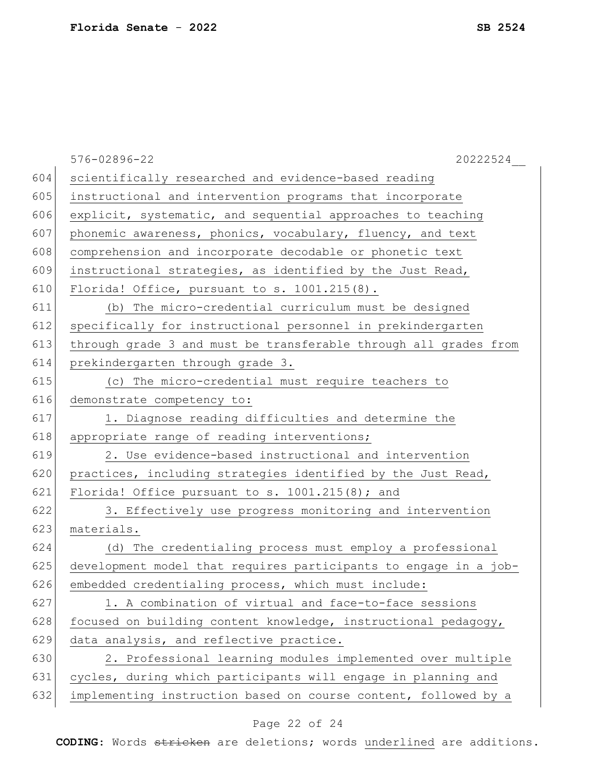|     | 576-02896-22<br>20222524                                         |
|-----|------------------------------------------------------------------|
| 604 | scientifically researched and evidence-based reading             |
| 605 | instructional and intervention programs that incorporate         |
| 606 | explicit, systematic, and sequential approaches to teaching      |
| 607 | phonemic awareness, phonics, vocabulary, fluency, and text       |
| 608 | comprehension and incorporate decodable or phonetic text         |
| 609 | instructional strategies, as identified by the Just Read,        |
| 610 | Florida! Office, pursuant to s. 1001.215(8).                     |
| 611 | (b) The micro-credential curriculum must be designed             |
| 612 | specifically for instructional personnel in prekindergarten      |
| 613 | through grade 3 and must be transferable through all grades from |
| 614 | prekindergarten through grade 3.                                 |
| 615 | (c) The micro-credential must require teachers to                |
| 616 | demonstrate competency to:                                       |
| 617 | 1. Diagnose reading difficulties and determine the               |
| 618 | appropriate range of reading interventions;                      |
| 619 | 2. Use evidence-based instructional and intervention             |
| 620 | practices, including strategies identified by the Just Read,     |
| 621 | Florida! Office pursuant to $s. 1001.215(8)$ ; and               |
| 622 | 3. Effectively use progress monitoring and intervention          |
| 623 | materials.                                                       |
| 624 | (d) The credentialing process must employ a professional         |
| 625 | development model that requires participants to engage in a job- |
| 626 | embedded credentialing process, which must include:              |
| 627 | 1. A combination of virtual and face-to-face sessions            |
| 628 | focused on building content knowledge, instructional pedagogy,   |
| 629 | data analysis, and reflective practice.                          |
| 630 | 2. Professional learning modules implemented over multiple       |
| 631 | cycles, during which participants will engage in planning and    |
| 632 | implementing instruction based on course content, followed by a  |
|     |                                                                  |

# Page 22 of 24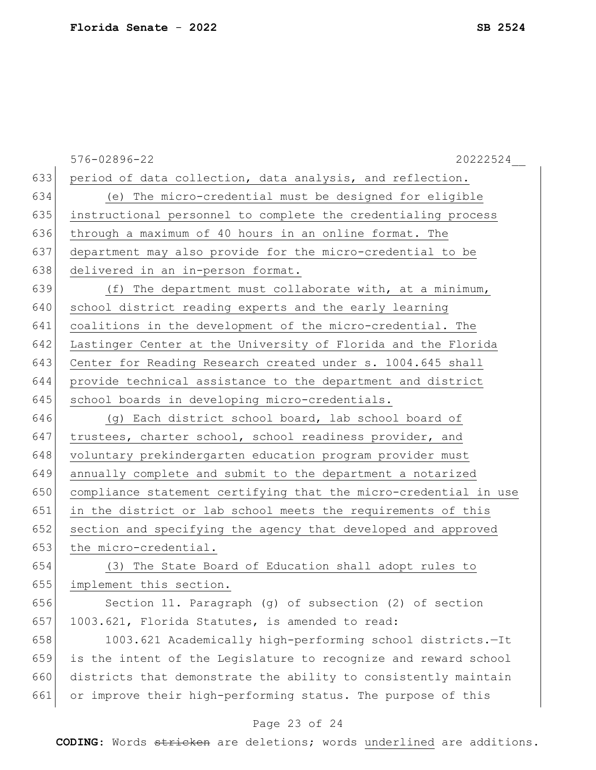|     | 576-02896-22<br>20222524                                         |
|-----|------------------------------------------------------------------|
| 633 | period of data collection, data analysis, and reflection.        |
| 634 | (e) The micro-credential must be designed for eligible           |
| 635 | instructional personnel to complete the credentialing process    |
| 636 | through a maximum of 40 hours in an online format. The           |
| 637 | department may also provide for the micro-credential to be       |
| 638 | delivered in an in-person format.                                |
| 639 | (f) The department must collaborate with, at a minimum,          |
| 640 | school district reading experts and the early learning           |
| 641 | coalitions in the development of the micro-credential. The       |
| 642 | Lastinger Center at the University of Florida and the Florida    |
| 643 | Center for Reading Research created under s. 1004.645 shall      |
| 644 | provide technical assistance to the department and district      |
| 645 | school boards in developing micro-credentials.                   |
| 646 | (g) Each district school board, lab school board of              |
| 647 | trustees, charter school, school readiness provider, and         |
| 648 | voluntary prekindergarten education program provider must        |
| 649 | annually complete and submit to the department a notarized       |
| 650 | compliance statement certifying that the micro-credential in use |
| 651 | in the district or lab school meets the requirements of this     |
| 652 | section and specifying the agency that developed and approved    |
| 653 | the micro-credential.                                            |
| 654 | (3) The State Board of Education shall adopt rules to            |
| 655 | implement this section.                                          |
| 656 | Section 11. Paragraph (g) of subsection (2) of section           |
| 657 | 1003.621, Florida Statutes, is amended to read:                  |
| 658 | 1003.621 Academically high-performing school districts.-It       |
| 659 | is the intent of the Legislature to recognize and reward school  |
| 660 | districts that demonstrate the ability to consistently maintain  |
| 661 | or improve their high-performing status. The purpose of this     |
|     |                                                                  |

## Page 23 of 24